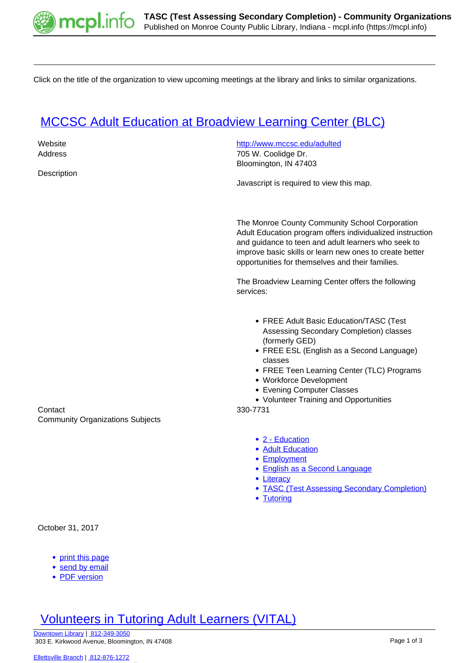

Click on the title of the organization to view upcoming meetings at the library and links to similar organizations.

## **[MCCSC Adult Education at Broadview Learning Center \(BLC\)](https://mcpl.info/commorg/mccsc-adult-education-broadview-learning-center-blc)**

| Website<br>Address<br>Description                   | http://www.mccsc.edu/adulted<br>705 W. Coolidge Dr.<br>Bloomington, IN 47403                                                                                                                                                                                                                                              |
|-----------------------------------------------------|---------------------------------------------------------------------------------------------------------------------------------------------------------------------------------------------------------------------------------------------------------------------------------------------------------------------------|
|                                                     | Javascript is required to view this map.                                                                                                                                                                                                                                                                                  |
|                                                     | The Monroe County Community School Corporation<br>Adult Education program offers individualized instruction<br>and guidance to teen and adult learners who seek to<br>improve basic skills or learn new ones to create better<br>opportunities for themselves and their families.                                         |
|                                                     | The Broadview Learning Center offers the following<br>services:                                                                                                                                                                                                                                                           |
| Contact<br><b>Community Organizations Subjects</b>  | • FREE Adult Basic Education/TASC (Test<br>Assessing Secondary Completion) classes<br>(formerly GED)<br>• FREE ESL (English as a Second Language)<br>classes<br>• FREE Teen Learning Center (TLC) Programs<br>• Workforce Development<br>• Evening Computer Classes<br>• Volunteer Training and Opportunities<br>330-7731 |
|                                                     | • 2 - Education<br>• Adult Education<br>• Employment<br>• English as a Second Language<br>• Literacy<br>• TASC (Test Assessing Secondary Completion)<br>• Tutoring                                                                                                                                                        |
| October 31, 2017                                    |                                                                                                                                                                                                                                                                                                                           |
| • print this page<br>send by email<br>• PDF version |                                                                                                                                                                                                                                                                                                                           |

## [Volunteers in Tutoring Adult Learners \(VITAL\)](https://mcpl.info/commorg/volunteers-tutoring-adult-learners-vital)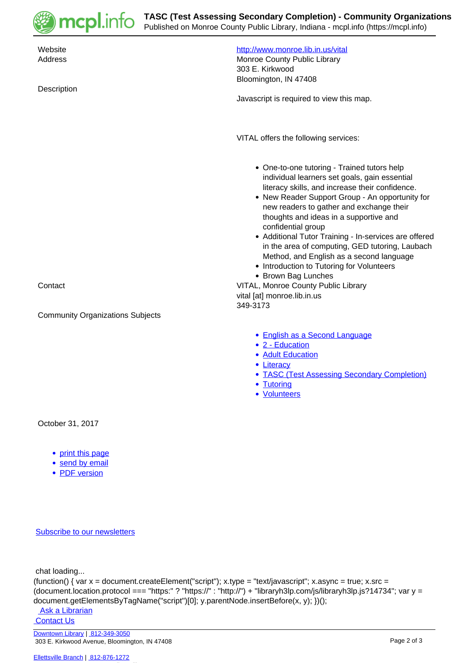

| Website<br>Address<br>Description                                     | http://www.monroe.lib.in.us/vital<br>Monroe County Public Library<br>303 E. Kirkwood<br>Bloomington, IN 47408<br>Javascript is required to view this map.                                                                                                                                                                                                                                                                                                                                                                                                                         |
|-----------------------------------------------------------------------|-----------------------------------------------------------------------------------------------------------------------------------------------------------------------------------------------------------------------------------------------------------------------------------------------------------------------------------------------------------------------------------------------------------------------------------------------------------------------------------------------------------------------------------------------------------------------------------|
|                                                                       | VITAL offers the following services:                                                                                                                                                                                                                                                                                                                                                                                                                                                                                                                                              |
| Contact                                                               | • One-to-one tutoring - Trained tutors help<br>individual learners set goals, gain essential<br>literacy skills, and increase their confidence.<br>• New Reader Support Group - An opportunity for<br>new readers to gather and exchange their<br>thoughts and ideas in a supportive and<br>confidential group<br>• Additional Tutor Training - In-services are offered<br>in the area of computing, GED tutoring, Laubach<br>Method, and English as a second language<br>• Introduction to Tutoring for Volunteers<br>• Brown Bag Lunches<br>VITAL, Monroe County Public Library |
|                                                                       | vital [at] monroe.lib.in.us                                                                                                                                                                                                                                                                                                                                                                                                                                                                                                                                                       |
| <b>Community Organizations Subjects</b>                               | 349-3173                                                                                                                                                                                                                                                                                                                                                                                                                                                                                                                                                                          |
|                                                                       | • English as a Second Language<br>• 2 - Education<br>• Adult Education<br>• Literacy<br>• TASC (Test Assessing Secondary Completion)<br>• Tutoring<br>• Volunteers                                                                                                                                                                                                                                                                                                                                                                                                                |
| October 31, 2017                                                      |                                                                                                                                                                                                                                                                                                                                                                                                                                                                                                                                                                                   |
| • print this page<br>send by email<br>$\bullet$<br><b>PDF</b> version |                                                                                                                                                                                                                                                                                                                                                                                                                                                                                                                                                                                   |
| <b>Subscribe to our newsletters</b>                                   |                                                                                                                                                                                                                                                                                                                                                                                                                                                                                                                                                                                   |

chat loading...

```
(function() { var x = document.createElement("script"); x.type = "text/javascript"; x.async = true; x.src =
(document.location.protocol === "https:" ? "https://" : "http://") + "libraryh3lp.com/js/libraryh3lp.js?14734"; var y =
document.getElementsByTagName("script")[0]; y.parentNode.insertBefore(x, y); })();
```
Ask a Librarian **Contact Us**